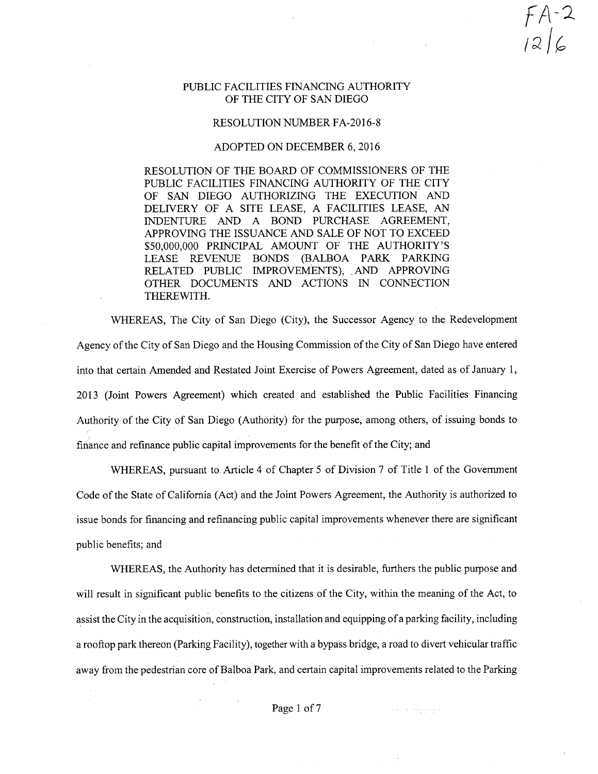*fA-^*

## PUBLIC FACILITIES FINANCING AUTHORITY OF THE CITY OF SAN DIEGO

## RESOLUTION NUMBER FA-2016-8

## ADOPTED ON DECEMBER 6, 2016

RESOLUTION OF THE BOARD OF COMMISSIONERS OF THE PUBLIC FACILITIES FINANCING AUTHORITY OF THE CITY OF SAN DIEGO AUTHORIZING THE EXECUTION AND DELIVERY OF A SITE LEASE, A FACILITIES LEASE, AN INDENTURE AND A BOND PURCHASE AGREEMENT, APPROVING THE ISSUANCE AND SALE OF NOT TO EXCEED \$50,000,000 PRINCIPAL AMOUNT OF THE AUTHORITY'S LEASE REVENUE BONDS (BALBOA PARK PARKING RELATED PUBLIC IMPROVEMENTS), AND APPROVING OTHER DOCUMENTS AND ACTIONS IN CONNECTION THEREWITH.

WHEREAS, The City of San Diego (City), the Successor Agency to the Redevelopment Agency of the City of San Diego and the Housing Commission of the City of San Diego have entered into that certain Amended and Restated Joint Exercise of Powers Agreement, dated as of January 1, 2013 (Joint Powers Agreement) which created and established the Public Facilities Financing Authority of the City of San Diego (Authority) for the purpose, among others, of issuing bonds to finance and refinance public capital improvements for the benefit of the City; and

WHEREAS, pursuant to Article 4 of Chapter 5 of Division 7 of Title <sup>1</sup> of the Government Code of the State of California (Act) and the Joint Powers Agreement, the Authority is authorized to issue bonds for financing and refinancing public capital improvements whenever there are significant public benefits; and

WHEREAS, the Authority has determined that it is desirable, furthers the public purpose and will result in significant public benefits to the citizens of the City, within the meaning of the Act, to assist the City in the acquisition, construction, installation and equipping of a parking facility, including a rooftop park thereon (Parking Facility), together with a bypass bridge, a road to divert vehicular traffic away from the pedestrian core of Balboa Park, and certain capital improvements related to the Parking

فتوقع وفعالف الفعل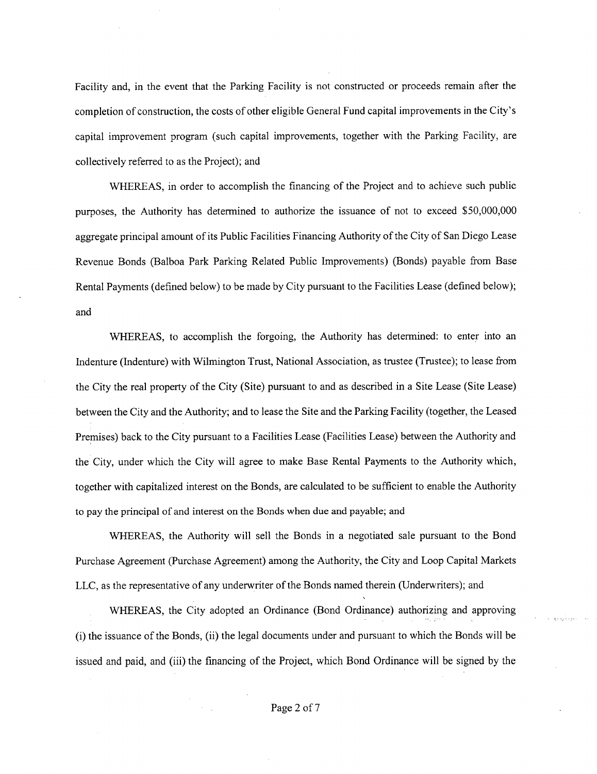Facility and, in the event that the Parking Facility is not constructed or proceeds remain after the completion of construction, the costs of other eligible General Fund capital improvements in the City's capital improvement program (such capital improvements, together with the Parking Facility, are collectively referred to as the Project); and

WHEREAS, in order to accomplish the financing of the Project and to achieve such public purposes, the Authority has determined to authorize the issuance of not to exceed \$50,000,000 aggregate principal amount of its Public Facilities Financing Authority of the City of San Diego Lease Revenue Bonds (Balboa Park Parking Related Public Improvements) (Bonds) payable from Base Rental Payments (defined below) to be made by City pursuant to the Facilities Lease (defined below); and

WHEREAS, to accomplish the forgoing, the Authority has determined: to enter into an Indenture (Indenture) with Wilmington Trust, National Association, as trustee (Trustee); to lease from the City the real property of the City (Site) pursuant to and as described in a Site Lease (Site Lease) between the City and the Authority; and to lease the Site and the Parking Facility (together, the Leased Premises) back to the City pursuant to a Facilities Lease (Facilities Lease) between the Authority and the City, under which the City will agree to make Base Rental Payments to the Authority which, together with capitalized interest on the Bonds, are calculated to be sufficient to enable the Authority to pay the principal of and interest on the Bonds when due and payable; and

WHEREAS, the Authority will sell the Bonds in a negotiated sale pursuant to the Bond Purchase Agreement (Purchase Agreement) among the Authority, the City and Loop Capital Markets LLC, as the representative of any underwriter of the Bonds named therein (Underwriters); and

WHEREAS, the City adopted an Ordinance (Bond Ordinance) authorizing and approving (i) the issuance ofthe Bonds, (ii) the legal documents under and pursuant to which the Bonds will be issued and paid, and (iii) the financing of the Project, which Bond Ordinance will be signed by the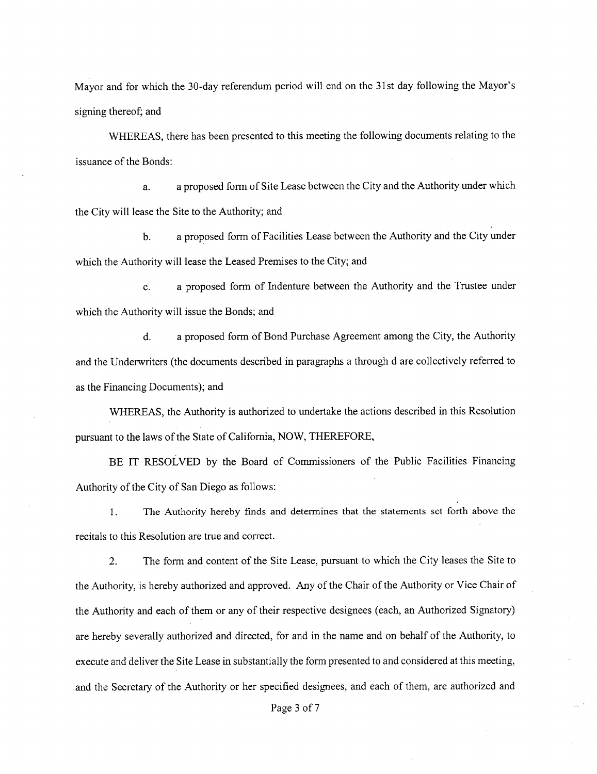Mayor and for which the 30-day referendum period will end on the 31st day following the Mayor's signing thereof; and

WHEREAS, there has been presented to this meeting the following documents relating to the issuance of the Bonds:

a. a proposed form of Site Lease between the City and the Authority under whieh the City will lease the Site to the Authority; and

b. a proposed form of Facilities Lease between the Authority and the City under which the Authority will lease the Leased Premises to the City; and

e. a proposed form of Indenture between the Authority and the Trustee under which the Authority will issue the Bonds; and

d. a proposed form of Bond Purchase Agreement among the City, the Authority and the Underwriters (the documents described in paragraphs a through d are colleetively referred to as the Financing Documents); and

WHEREAS, the Authority is authorized to undertake the actions described in this Resolution pursuant to the laws of the State of California, NOW, THEREFORE,

BE IT RESOLVED by the Board of Commissioners of the Public Facilities Financing Authority of the City of San Diego as follows:

1. The Authority hereby finds and determines that the statements set forth above the recitals to this Resolution are true and correct.

2. The form and content of the Site Lease, pursuant to which the City leases the Site to the Authority, is hereby authorized and approved. Any of the Chair of the Authority or Vice Chair of the Authority and each of them or any of their respective designees (each, an Authorized Signatory) are hereby severally authorized and direeted, for and in the name and on behalf of the Authority, to execute and deliver the Site Lease in substantially the form presented to and eonsidered at this meeting, and the Secretary of the Authority or her specified designees, and each of them, are authorized and

Page <sup>3</sup> of <sup>7</sup>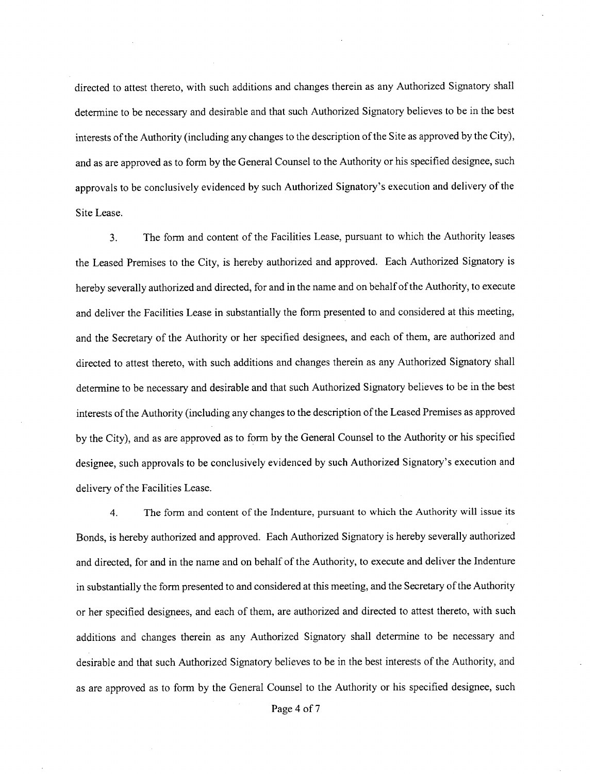directed to attest thereto, with such additions and changes therein as any Authorized Signatory shall determine to be necessary and desirable and that such Authorized Signatory believes to be in the best interests of the Authority (including any changes to the description of the Site as approved by the City), and as are approved as to form by the General Counsel to the Authority or his specified designee, such approvals to be conclusively evidenced by such Authorized Signatory's execution and delivery ofthe Site Lease.

3. The form and content of the Facilities Lease, pursuant to which the Authority leases the Leased Premises to the City, is hereby authorized and approved. Each Authorized Signatory is hereby severally authorized and directed, for and in the name and on behalf of the Authority, to execute and deliver the Facilities Lease in substantially the form presented to and considered at this meeting, and the Secretary of the Authority or her specified designees, and each of them, are authorized and directed to attest thereto, with such additions and changes therein as any Authorized Signatory shall determine to be necessary and desirable and that such Authorized Signatory believes to be in the best interests of the Authority (including any changes to the description of the Leased Premises as approved by the City), and as are approved as to form by the General Counsel to the Authority or his specified designee, such approvals to be conclusively evidenced by such Authorized Signatory's execution and delivery of the Facilities Lease.

4. The form and content of the Indenture, pursuant to which the Authority will issue its Bonds, is hereby authorized and approved. Each Authorized Signatory is hereby severally authorized and directed, for and in the name and on behalf of the Authority, to execute and deliver the Indenture in substantially the form presented to and considered at this meeting, and the Secretary of the Authority or her specified designees, and each of them, are authorized and directed to attest thereto, with such additions and changes therein as any Authorized Signatory shall determine to be necessary and desirable and that such Authorized Signatory believes to be in the best interests of the Authority, and as are approved as to form by the General Counsel to the Authority or his specified designee, such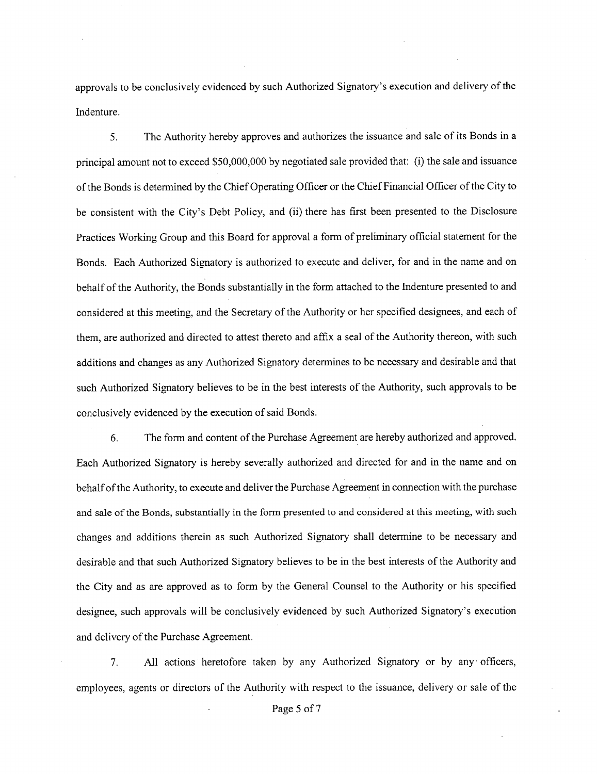approvals to be conclusively evidenced by such Authorized Signatory's execution and delivery ofthe Indenture.

5. The Authority hereby approves and authorizes the issuance and sale of its Bonds in a principal amount not to exceed \$50,000,000 by negotiated sale provided that: (i) the sale and issuance of the Bonds is determined by the Chief Operating Officer or the Chief Financial Officer of the City to be consistent with the City's Debt Policy, and (ii) there has first been presented to the Disclosure Practices Working Group and this Board for approval a form of preliminary official statement for the Bonds. Each Authorized Signatory is authorized to execute and deliver, for and in the name and on behalf of the Authority, the Bonds substantially in the form attached to the Indenture presented to and considered at this meeting, and the Secretary of the Authority or her specified designees, and each of them, are authorized and directed to attest thereto and affix a seal of the Authority thereon, with such additions and changes as any Authorized Signatory determines to be necessary and desirable and that such Authorized Signatory believes to be in the best interests of the Authority, such approvals to be conclusively evidenced by the execution of said Bonds.

6. The form and content ofthe Purchase Agreement are hereby authorized and approved. Each Authorized Signatory is hereby severally authorized and directed for and in the name and on behalf of the Authority, to execute and deliver the Purchase Agreement in connection with the purchase and sale ofthe Bonds, substantially in the form presented to and considered at this meeting, with such changes and additions therein as such Authorized Signatory shall determine to be necessary and desirable and that such Authorized Signatory believes to be in the best interests of the Authority and the City and as are approved as to form by the General Counsel to the Authority or his specified designee, such approvals will be conclusively evidenced by such Authorized Signatory's execution and delivery of the Purchase Agreement.

7. All actions heretofore taken by any Authorized Signatory or by any officers, employees, agents or directors of the Authority with respect to the issuance, delivery or sale of the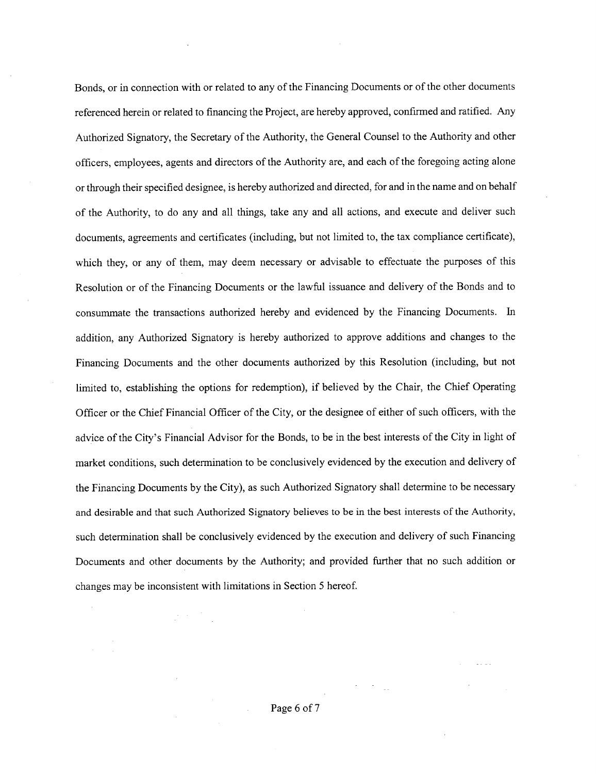Bonds, or in connection with or related to any of the Financing Documents or of the other documents referenced herein or related to financing the Project, are hereby approved, eonfirmed and ratified. Any Authorized Signatory, the Secretary of the Authority, the General Counsel to the Authority and other officers, employees, agents and direetors ofthe Authority are, and each ofthe foregoing acting alone or through their specified designee, is hereby authorized and directed, for and in the name and on behalf of the Authority, to do any and all things, take any and all actions, and execute and deliver such documents, agreements and certificates (including, but not limited to, the tax compliance certificate), whieh they, or any of them, may deem necessary or advisable to effectuate the purposes of this Resolution or of the Financing Documents or the lawful issuance and delivery of the Bonds and to consummate the transactions authorized hereby and evidenced by the Financing Documents. In addition, any Authorized Signatory is hereby authorized to approve additions and changes to the Financing Documents and the other doeuments authorized by this Resolution (including, but not limited to, establishing the options for redemption), if believed by the Chair, the Chief Operating Officer or the Chief Financial Officer of the City, or the designee of either of such officers, with the advice ofthe City's Financial Advisor for the Bonds, to be in the best interests of the City in light of market conditions, such determination to be conelusively evidenced by the execution and delivery of the Financing Documents by the City), as sueh Authorized Signatory shall determine to be necessary and desirable and that such Authorized Signatory believes to be in the best interests ofthe Authority, such determination shall be conclusively evideneed by the execution and delivery of such Financing Documents and other documents by the Authority; and provided further that no such addition or changes may be inconsistent with limitations in Section 5 hereof